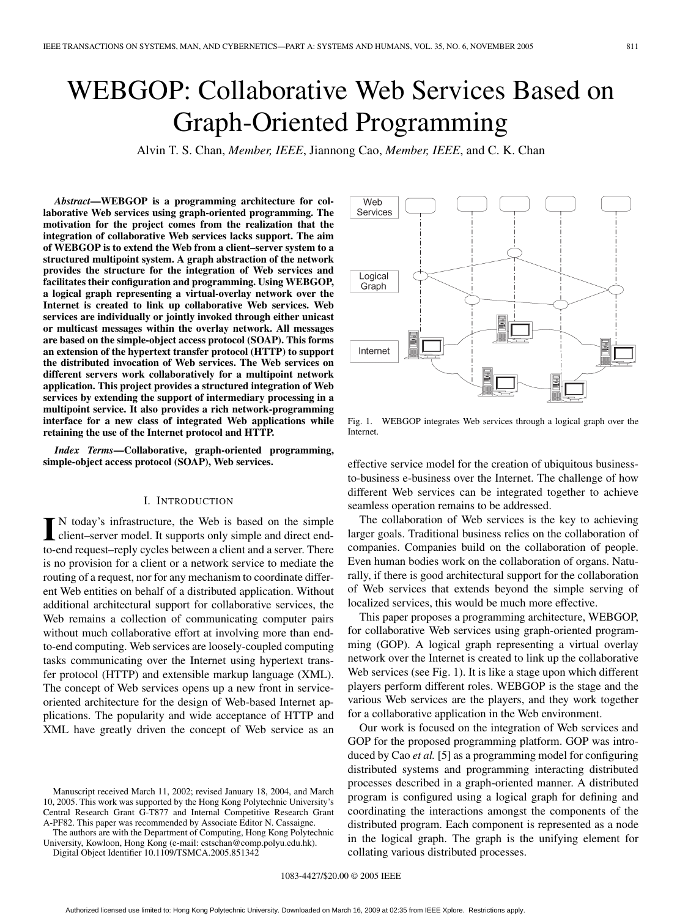# WEBGOP: Collaborative Web Services Based on Graph-Oriented Programming

Alvin T. S. Chan, *Member, IEEE*, Jiannong Cao, *Member, IEEE*, and C. K. Chan

*Abstract***—WEBGOP is a programming architecture for collaborative Web services using graph-oriented programming. The motivation for the project comes from the realization that the integration of collaborative Web services lacks support. The aim of WEBGOP is to extend the Web from a client–server system to a structured multipoint system. A graph abstraction of the network provides the structure for the integration of Web services and facilitates their configuration and programming. Using WEBGOP, a logical graph representing a virtual-overlay network over the Internet is created to link up collaborative Web services. Web services are individually or jointly invoked through either unicast or multicast messages within the overlay network. All messages are based on the simple-object access protocol (SOAP). This forms an extension of the hypertext transfer protocol (HTTP) to support the distributed invocation of Web services. The Web services on different servers work collaboratively for a multipoint network application. This project provides a structured integration of Web services by extending the support of intermediary processing in a multipoint service. It also provides a rich network-programming interface for a new class of integrated Web applications while retaining the use of the Internet protocol and HTTP.**

*Index Terms***—Collaborative, graph-oriented programming, simple-object access protocol (SOAP), Web services.**

## I. INTRODUCTION

I<sup>I</sup> N today's infrastructure, the Web is based on the simple client–server model. It supports only simple and direct endto-end request–reply cycles between a client and a server. There is no provision for a client or a network service to mediate the routing of a request, nor for any mechanism to coordinate different Web entities on behalf of a distributed application. Without additional architectural support for collaborative services, the Web remains a collection of communicating computer pairs without much collaborative effort at involving more than endto-end computing. Web services are loosely-coupled computing tasks communicating over the Internet using hypertext transfer protocol (HTTP) and extensible markup language (XML). The concept of Web services opens up a new front in serviceoriented architecture for the design of Web-based Internet applications. The popularity and wide acceptance of HTTP and XML have greatly driven the concept of Web service as an

The authors are with the Department of Computing, Hong Kong Polytechnic University, Kowloon, Hong Kong (e-mail: cstschan@comp.polyu.edu.hk).

Digital Object Identifier 10.1109/TSMCA.2005.851342



Fig. 1. WEBGOP integrates Web services through a logical graph over the Internet.

effective service model for the creation of ubiquitous businessto-business e-business over the Internet. The challenge of how different Web services can be integrated together to achieve seamless operation remains to be addressed.

The collaboration of Web services is the key to achieving larger goals. Traditional business relies on the collaboration of companies. Companies build on the collaboration of people. Even human bodies work on the collaboration of organs. Naturally, if there is good architectural support for the collaboration of Web services that extends beyond the simple serving of localized services, this would be much more effective.

This paper proposes a programming architecture, WEBGOP, for collaborative Web services using graph-oriented programming (GOP). A logical graph representing a virtual overlay network over the Internet is created to link up the collaborative Web services (see Fig. 1). It is like a stage upon which different players perform different roles. WEBGOP is the stage and the various Web services are the players, and they work together for a collaborative application in the Web environment.

Our work is focused on the integration of Web services and GOP for the proposed programming platform. GOP was introduced by Cao *et al.* [5] as a programming model for configuring distributed systems and programming interacting distributed processes described in a graph-oriented manner. A distributed program is configured using a logical graph for defining and coordinating the interactions amongst the components of the distributed program. Each component is represented as a node in the logical graph. The graph is the unifying element for collating various distributed processes.

Manuscript received March 11, 2002; revised January 18, 2004, and March 10, 2005. This work was supported by the Hong Kong Polytechnic University's Central Research Grant G-T877 and Internal Competitive Research Grant A-PF82. This paper was recommended by Associate Editor N. Cassaigne.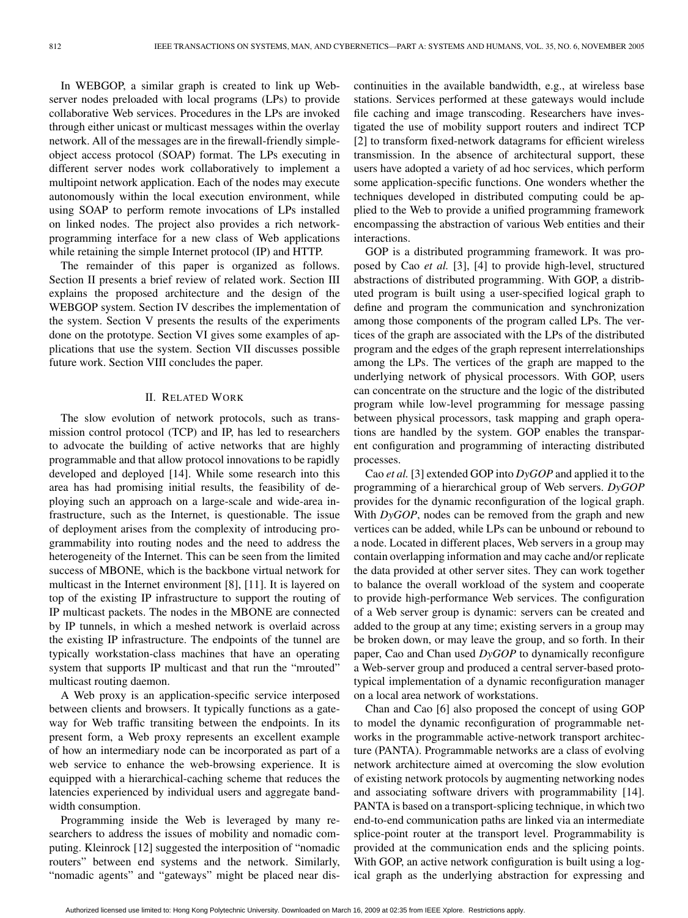In WEBGOP, a similar graph is created to link up Webserver nodes preloaded with local programs (LPs) to provide collaborative Web services. Procedures in the LPs are invoked through either unicast or multicast messages within the overlay network. All of the messages are in the firewall-friendly simpleobject access protocol (SOAP) format. The LPs executing in different server nodes work collaboratively to implement a multipoint network application. Each of the nodes may execute autonomously within the local execution environment, while using SOAP to perform remote invocations of LPs installed on linked nodes. The project also provides a rich networkprogramming interface for a new class of Web applications while retaining the simple Internet protocol (IP) and HTTP.

The remainder of this paper is organized as follows. Section II presents a brief review of related work. Section III explains the proposed architecture and the design of the WEBGOP system. Section IV describes the implementation of the system. Section V presents the results of the experiments done on the prototype. Section VI gives some examples of applications that use the system. Section VII discusses possible future work. Section VIII concludes the paper.

#### II. RELATED WORK

The slow evolution of network protocols, such as transmission control protocol (TCP) and IP, has led to researchers to advocate the building of active networks that are highly programmable and that allow protocol innovations to be rapidly developed and deployed [14]. While some research into this area has had promising initial results, the feasibility of deploying such an approach on a large-scale and wide-area infrastructure, such as the Internet, is questionable. The issue of deployment arises from the complexity of introducing programmability into routing nodes and the need to address the heterogeneity of the Internet. This can be seen from the limited success of MBONE, which is the backbone virtual network for multicast in the Internet environment [8], [11]. It is layered on top of the existing IP infrastructure to support the routing of IP multicast packets. The nodes in the MBONE are connected by IP tunnels, in which a meshed network is overlaid across the existing IP infrastructure. The endpoints of the tunnel are typically workstation-class machines that have an operating system that supports IP multicast and that run the "mrouted" multicast routing daemon.

A Web proxy is an application-specific service interposed between clients and browsers. It typically functions as a gateway for Web traffic transiting between the endpoints. In its present form, a Web proxy represents an excellent example of how an intermediary node can be incorporated as part of a web service to enhance the web-browsing experience. It is equipped with a hierarchical-caching scheme that reduces the latencies experienced by individual users and aggregate bandwidth consumption.

Programming inside the Web is leveraged by many researchers to address the issues of mobility and nomadic computing. Kleinrock [12] suggested the interposition of "nomadic routers" between end systems and the network. Similarly, "nomadic agents" and "gateways" might be placed near discontinuities in the available bandwidth, e.g., at wireless base stations. Services performed at these gateways would include file caching and image transcoding. Researchers have investigated the use of mobility support routers and indirect TCP [2] to transform fixed-network datagrams for efficient wireless transmission. In the absence of architectural support, these users have adopted a variety of ad hoc services, which perform some application-specific functions. One wonders whether the techniques developed in distributed computing could be applied to the Web to provide a unified programming framework encompassing the abstraction of various Web entities and their interactions.

GOP is a distributed programming framework. It was proposed by Cao *et al.* [3], [4] to provide high-level, structured abstractions of distributed programming. With GOP, a distributed program is built using a user-specified logical graph to define and program the communication and synchronization among those components of the program called LPs. The vertices of the graph are associated with the LPs of the distributed program and the edges of the graph represent interrelationships among the LPs. The vertices of the graph are mapped to the underlying network of physical processors. With GOP, users can concentrate on the structure and the logic of the distributed program while low-level programming for message passing between physical processors, task mapping and graph operations are handled by the system. GOP enables the transparent configuration and programming of interacting distributed processes.

Cao *et al.* [3] extended GOP into *DyGOP* and applied it to the programming of a hierarchical group of Web servers. *DyGOP* provides for the dynamic reconfiguration of the logical graph. With *DyGOP*, nodes can be removed from the graph and new vertices can be added, while LPs can be unbound or rebound to a node. Located in different places, Web servers in a group may contain overlapping information and may cache and/or replicate the data provided at other server sites. They can work together to balance the overall workload of the system and cooperate to provide high-performance Web services. The configuration of a Web server group is dynamic: servers can be created and added to the group at any time; existing servers in a group may be broken down, or may leave the group, and so forth. In their paper, Cao and Chan used *DyGOP* to dynamically reconfigure a Web-server group and produced a central server-based prototypical implementation of a dynamic reconfiguration manager on a local area network of workstations.

Chan and Cao [6] also proposed the concept of using GOP to model the dynamic reconfiguration of programmable networks in the programmable active-network transport architecture (PANTA). Programmable networks are a class of evolving network architecture aimed at overcoming the slow evolution of existing network protocols by augmenting networking nodes and associating software drivers with programmability [14]. PANTA is based on a transport-splicing technique, in which two end-to-end communication paths are linked via an intermediate splice-point router at the transport level. Programmability is provided at the communication ends and the splicing points. With GOP, an active network configuration is built using a logical graph as the underlying abstraction for expressing and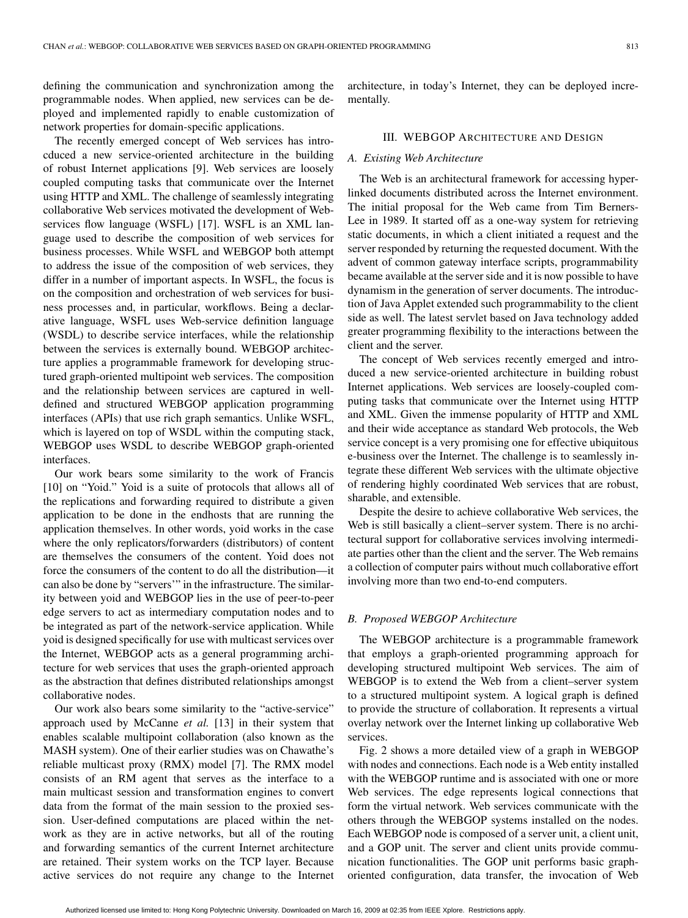defining the communication and synchronization among the programmable nodes. When applied, new services can be deployed and implemented rapidly to enable customization of network properties for domain-specific applications.

The recently emerged concept of Web services has introcduced a new service-oriented architecture in the building of robust Internet applications [9]. Web services are loosely coupled computing tasks that communicate over the Internet using HTTP and XML. The challenge of seamlessly integrating collaborative Web services motivated the development of Webservices flow language (WSFL) [17]. WSFL is an XML language used to describe the composition of web services for business processes. While WSFL and WEBGOP both attempt to address the issue of the composition of web services, they differ in a number of important aspects. In WSFL, the focus is on the composition and orchestration of web services for business processes and, in particular, workflows. Being a declarative language, WSFL uses Web-service definition language (WSDL) to describe service interfaces, while the relationship between the services is externally bound. WEBGOP architecture applies a programmable framework for developing structured graph-oriented multipoint web services. The composition and the relationship between services are captured in welldefined and structured WEBGOP application programming interfaces (APIs) that use rich graph semantics. Unlike WSFL, which is layered on top of WSDL within the computing stack, WEBGOP uses WSDL to describe WEBGOP graph-oriented interfaces.

Our work bears some similarity to the work of Francis [10] on "Yoid." Yoid is a suite of protocols that allows all of the replications and forwarding required to distribute a given application to be done in the endhosts that are running the application themselves. In other words, yoid works in the case where the only replicators/forwarders (distributors) of content are themselves the consumers of the content. Yoid does not force the consumers of the content to do all the distribution—it can also be done by "servers'" in the infrastructure. The similarity between yoid and WEBGOP lies in the use of peer-to-peer edge servers to act as intermediary computation nodes and to be integrated as part of the network-service application. While yoid is designed specifically for use with multicast services over the Internet, WEBGOP acts as a general programming architecture for web services that uses the graph-oriented approach as the abstraction that defines distributed relationships amongst collaborative nodes.

Our work also bears some similarity to the "active-service" approach used by McCanne *et al.* [13] in their system that enables scalable multipoint collaboration (also known as the MASH system). One of their earlier studies was on Chawathe's reliable multicast proxy (RMX) model [7]. The RMX model consists of an RM agent that serves as the interface to a main multicast session and transformation engines to convert data from the format of the main session to the proxied session. User-defined computations are placed within the network as they are in active networks, but all of the routing and forwarding semantics of the current Internet architecture are retained. Their system works on the TCP layer. Because active services do not require any change to the Internet architecture, in today's Internet, they can be deployed incrementally.

### III. WEBGOP ARCHITECTURE AND DESIGN

## *A. Existing Web Architecture*

The Web is an architectural framework for accessing hyperlinked documents distributed across the Internet environment. The initial proposal for the Web came from Tim Berners-Lee in 1989. It started off as a one-way system for retrieving static documents, in which a client initiated a request and the server responded by returning the requested document. With the advent of common gateway interface scripts, programmability became available at the server side and it is now possible to have dynamism in the generation of server documents. The introduction of Java Applet extended such programmability to the client side as well. The latest servlet based on Java technology added greater programming flexibility to the interactions between the client and the server.

The concept of Web services recently emerged and introduced a new service-oriented architecture in building robust Internet applications. Web services are loosely-coupled computing tasks that communicate over the Internet using HTTP and XML. Given the immense popularity of HTTP and XML and their wide acceptance as standard Web protocols, the Web service concept is a very promising one for effective ubiquitous e-business over the Internet. The challenge is to seamlessly integrate these different Web services with the ultimate objective of rendering highly coordinated Web services that are robust, sharable, and extensible.

Despite the desire to achieve collaborative Web services, the Web is still basically a client–server system. There is no architectural support for collaborative services involving intermediate parties other than the client and the server. The Web remains a collection of computer pairs without much collaborative effort involving more than two end-to-end computers.

## *B. Proposed WEBGOP Architecture*

The WEBGOP architecture is a programmable framework that employs a graph-oriented programming approach for developing structured multipoint Web services. The aim of WEBGOP is to extend the Web from a client–server system to a structured multipoint system. A logical graph is defined to provide the structure of collaboration. It represents a virtual overlay network over the Internet linking up collaborative Web services.

Fig. 2 shows a more detailed view of a graph in WEBGOP with nodes and connections. Each node is a Web entity installed with the WEBGOP runtime and is associated with one or more Web services. The edge represents logical connections that form the virtual network. Web services communicate with the others through the WEBGOP systems installed on the nodes. Each WEBGOP node is composed of a server unit, a client unit, and a GOP unit. The server and client units provide communication functionalities. The GOP unit performs basic graphoriented configuration, data transfer, the invocation of Web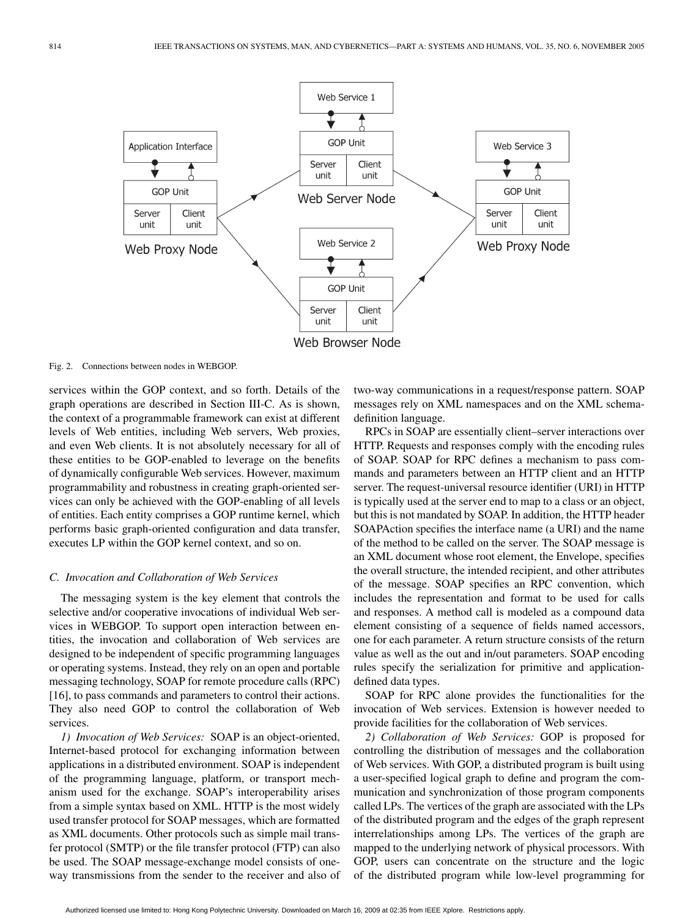

Fig. 2. Connections between nodes in WEBGOP.

services within the GOP context, and so forth. Details of the graph operations are described in Section III-C. As is shown, the context of a programmable framework can exist at different levels of Web entities, including Web servers, Web proxies, and even Web clients. It is not absolutely necessary for all of these entities to be GOP-enabled to leverage on the benefits of dynamically configurable Web services. However, maximum programmability and robustness in creating graph-oriented services can only be achieved with the GOP-enabling of all levels of entities. Each entity comprises a GOP runtime kernel, which performs basic graph-oriented configuration and data transfer, executes LP within the GOP kernel context, and so on.

#### *C. Invocation and Collaboration of Web Services*

The messaging system is the key element that controls the selective and/or cooperative invocations of individual Web services in WEBGOP. To support open interaction between entities, the invocation and collaboration of Web services are designed to be independent of specific programming languages or operating systems. Instead, they rely on an open and portable messaging technology, SOAP for remote procedure calls (RPC) [16], to pass commands and parameters to control their actions. They also need GOP to control the collaboration of Web services.

*1) Invocation of Web Services:* SOAP is an object-oriented, Internet-based protocol for exchanging information between applications in a distributed environment. SOAP is independent of the programming language, platform, or transport mechanism used for the exchange. SOAP's interoperability arises from a simple syntax based on XML. HTTP is the most widely used transfer protocol for SOAP messages, which are formatted as XML documents. Other protocols such as simple mail transfer protocol (SMTP) or the file transfer protocol (FTP) can also be used. The SOAP message-exchange model consists of oneway transmissions from the sender to the receiver and also of two-way communications in a request/response pattern. SOAP messages rely on XML namespaces and on the XML schemadefinition language.

RPCs in SOAP are essentially client–server interactions over HTTP. Requests and responses comply with the encoding rules of SOAP. SOAP for RPC defines a mechanism to pass commands and parameters between an HTTP client and an HTTP server. The request-universal resource identifier (URI) in HTTP is typically used at the server end to map to a class or an object, but this is not mandated by SOAP. In addition, the HTTP header SOAPAction specifies the interface name (a URI) and the name of the method to be called on the server. The SOAP message is an XML document whose root element, the Envelope, specifies the overall structure, the intended recipient, and other attributes of the message. SOAP specifies an RPC convention, which includes the representation and format to be used for calls and responses. A method call is modeled as a compound data element consisting of a sequence of fields named accessors, one for each parameter. A return structure consists of the return value as well as the out and in/out parameters. SOAP encoding rules specify the serialization for primitive and applicationdefined data types.

SOAP for RPC alone provides the functionalities for the invocation of Web services. Extension is however needed to provide facilities for the collaboration of Web services.

*2) Collaboration of Web Services:* GOP is proposed for controlling the distribution of messages and the collaboration of Web services. With GOP, a distributed program is built using a user-specified logical graph to define and program the communication and synchronization of those program components called LPs. The vertices of the graph are associated with the LPs of the distributed program and the edges of the graph represent interrelationships among LPs. The vertices of the graph are mapped to the underlying network of physical processors. With GOP, users can concentrate on the structure and the logic of the distributed program while low-level programming for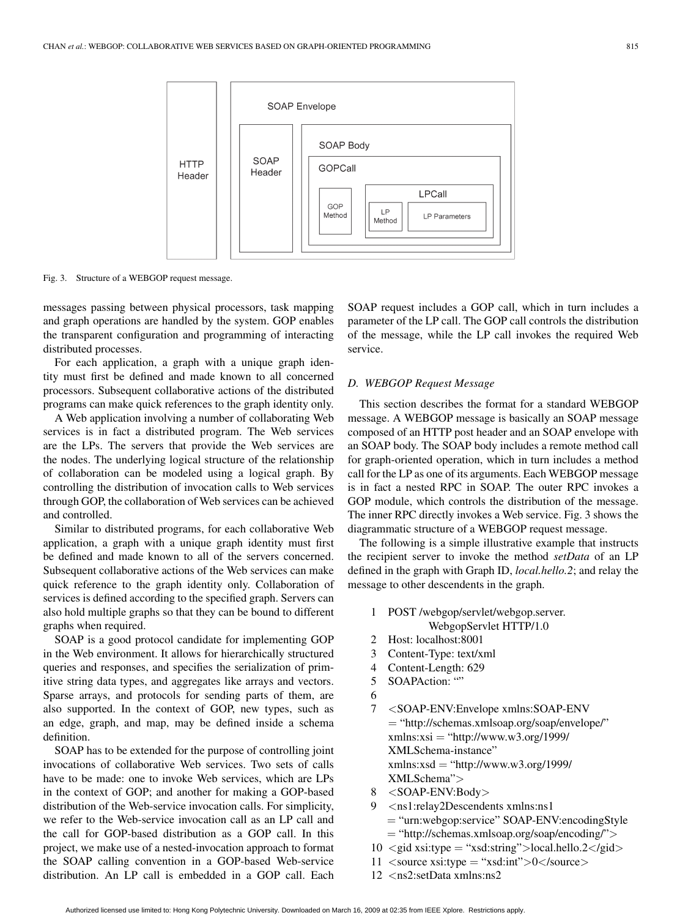

Fig. 3. Structure of a WEBGOP request message.

messages passing between physical processors, task mapping and graph operations are handled by the system. GOP enables the transparent configuration and programming of interacting distributed processes.

For each application, a graph with a unique graph identity must first be defined and made known to all concerned processors. Subsequent collaborative actions of the distributed programs can make quick references to the graph identity only.

A Web application involving a number of collaborating Web services is in fact a distributed program. The Web services are the LPs. The servers that provide the Web services are the nodes. The underlying logical structure of the relationship of collaboration can be modeled using a logical graph. By controlling the distribution of invocation calls to Web services through GOP, the collaboration of Web services can be achieved and controlled.

Similar to distributed programs, for each collaborative Web application, a graph with a unique graph identity must first be defined and made known to all of the servers concerned. Subsequent collaborative actions of the Web services can make quick reference to the graph identity only. Collaboration of services is defined according to the specified graph. Servers can also hold multiple graphs so that they can be bound to different graphs when required.

SOAP is a good protocol candidate for implementing GOP in the Web environment. It allows for hierarchically structured queries and responses, and specifies the serialization of primitive string data types, and aggregates like arrays and vectors. Sparse arrays, and protocols for sending parts of them, are also supported. In the context of GOP, new types, such as an edge, graph, and map, may be defined inside a schema definition.

SOAP has to be extended for the purpose of controlling joint invocations of collaborative Web services. Two sets of calls have to be made: one to invoke Web services, which are LPs in the context of GOP; and another for making a GOP-based distribution of the Web-service invocation calls. For simplicity, we refer to the Web-service invocation call as an LP call and the call for GOP-based distribution as a GOP call. In this project, we make use of a nested-invocation approach to format the SOAP calling convention in a GOP-based Web-service distribution. An LP call is embedded in a GOP call. Each

SOAP request includes a GOP call, which in turn includes a parameter of the LP call. The GOP call controls the distribution of the message, while the LP call invokes the required Web service.

### *D. WEBGOP Request Message*

This section describes the format for a standard WEBGOP message. A WEBGOP message is basically an SOAP message composed of an HTTP post header and an SOAP envelope with an SOAP body. The SOAP body includes a remote method call for graph-oriented operation, which in turn includes a method call for the LP as one of its arguments. Each WEBGOP message is in fact a nested RPC in SOAP. The outer RPC invokes a GOP module, which controls the distribution of the message. The inner RPC directly invokes a Web service. Fig. 3 shows the diagrammatic structure of a WEBGOP request message.

The following is a simple illustrative example that instructs the recipient server to invoke the method *setData* of an LP defined in the graph with Graph ID, *local.hello.2*; and relay the message to other descendents in the graph.

- 1 POST /webgop/servlet/webgop.server. WebgopServlet HTTP/1.0
- 2 Host: localhost:8001
- 3 Content-Type: text/xml
- 4 Content-Length: 629
- 5 SOAPAction: ""
- 6
- 7 <SOAP-ENV:Envelope xmlns:SOAP-ENV = "http://schemas.xmlsoap.org/soap/envelope/"  $xmlns:xsi = "http://www.w3.org/1999/$ XMLSchema-instance"  $xmlns:xsd = "http://www.w3.org/1999/$ XMLSchema">
- 8 <SOAP-ENV:Body>
- 9 <ns1:relay2Descendents xmlns:ns1
	- = "urn:webgop:service" SOAP-ENV:encodingStyle
	- = "http://schemas.xmlsoap.org/soap/encoding/">
- $10 \leq \text{gid}$  xsi:type = "xsd:string">local.hello.2</gid>
- 11  $\langle$  source xsi:type = "xsd:int">0 $\langle$ /source>
- 12 <ns2:setData xmlns:ns2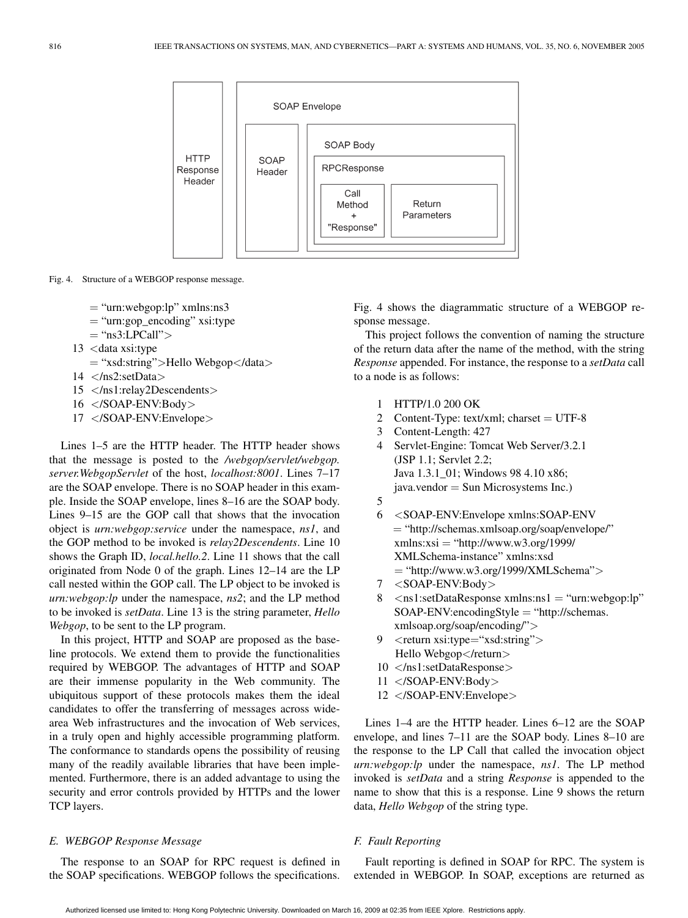

Fig. 4. Structure of a WEBGOP response message.

- $=$  "urn:webgop:lp" xmlns:ns3
- = "urn:gop\_encoding" xsi:type
- $=$  "ns3:LPCall" $>$
- 13 <data xsi:type
- = "xsd:string">Hello Webgop</data>
- 14 </ns2:setData>
- 15 </ns1:relay2Descendents>
- 16 </SOAP-ENV:Body>
- 17 </SOAP-ENV:Envelope>

Lines 1–5 are the HTTP header. The HTTP header shows that the message is posted to the */webgop/servlet/webgop. server.WebgopServlet* of the host, *localhost:8001*. Lines 7–17 are the SOAP envelope. There is no SOAP header in this example. Inside the SOAP envelope, lines 8–16 are the SOAP body. Lines 9–15 are the GOP call that shows that the invocation object is *urn:webgop:service* under the namespace, *ns1*, and the GOP method to be invoked is *relay2Descendents*. Line 10 shows the Graph ID, *local.hello.2*. Line 11 shows that the call originated from Node 0 of the graph. Lines 12–14 are the LP call nested within the GOP call. The LP object to be invoked is *urn:webgop:lp* under the namespace, *ns2*; and the LP method to be invoked is *setData*. Line 13 is the string parameter, *Hello Webgop*, to be sent to the LP program.

In this project, HTTP and SOAP are proposed as the baseline protocols. We extend them to provide the functionalities required by WEBGOP. The advantages of HTTP and SOAP are their immense popularity in the Web community. The ubiquitous support of these protocols makes them the ideal candidates to offer the transferring of messages across widearea Web infrastructures and the invocation of Web services, in a truly open and highly accessible programming platform. The conformance to standards opens the possibility of reusing many of the readily available libraries that have been implemented. Furthermore, there is an added advantage to using the security and error controls provided by HTTPs and the lower TCP layers.

# Fig. 4 shows the diagrammatic structure of a WEBGOP response message.

This project follows the convention of naming the structure of the return data after the name of the method, with the string *Response* appended. For instance, the response to a *setData* call to a node is as follows:

- 1 HTTP/1.0 200 OK
- 2 Content-Type: text/xml; charset =  $UTF-8$
- 3 Content-Length: 427
- 4 Servlet-Engine: Tomcat Web Server/3.2.1 (JSP 1.1; Servlet 2.2; Java 1.3.1\_01; Windows 98 4.10 x86;  $java$ .vendor = Sun Microsystems Inc.)

- 6 <SOAP-ENV:Envelope xmlns:SOAP-ENV = "http://schemas.xmlsoap.org/soap/envelope/"  $xmlns:xsi = "http://www.w3.org/1999/$ XMLSchema-instance" xmlns:xsd  $=$  "http://www.w3.org/1999/XMLSchema">
- 7 <SOAP-ENV:Body>
- 8 <ns1:setDataResponse xmlns:ns1 = "urn:webgop:lp" SOAP-ENV:encodingStyle = "http://schemas. xmlsoap.org/soap/encoding/">
- 9 < return xsi:type="xsd:string"> Hello Webgop</return>
- 10 </ns1:setDataResponse>
- 11 </SOAP-ENV:Body>
- 12 </SOAP-ENV:Envelope>

Lines 1–4 are the HTTP header. Lines 6–12 are the SOAP envelope, and lines 7–11 are the SOAP body. Lines 8–10 are the response to the LP Call that called the invocation object *urn:webgop:lp* under the namespace, *ns1*. The LP method invoked is *setData* and a string *Response* is appended to the name to show that this is a response. Line 9 shows the return data, *Hello Webgop* of the string type.

# *E. WEBGOP Response Message*

The response to an SOAP for RPC request is defined in the SOAP specifications. WEBGOP follows the specifications.

# *F. Fault Reporting*

Fault reporting is defined in SOAP for RPC. The system is extended in WEBGOP. In SOAP, exceptions are returned as

<sup>5</sup>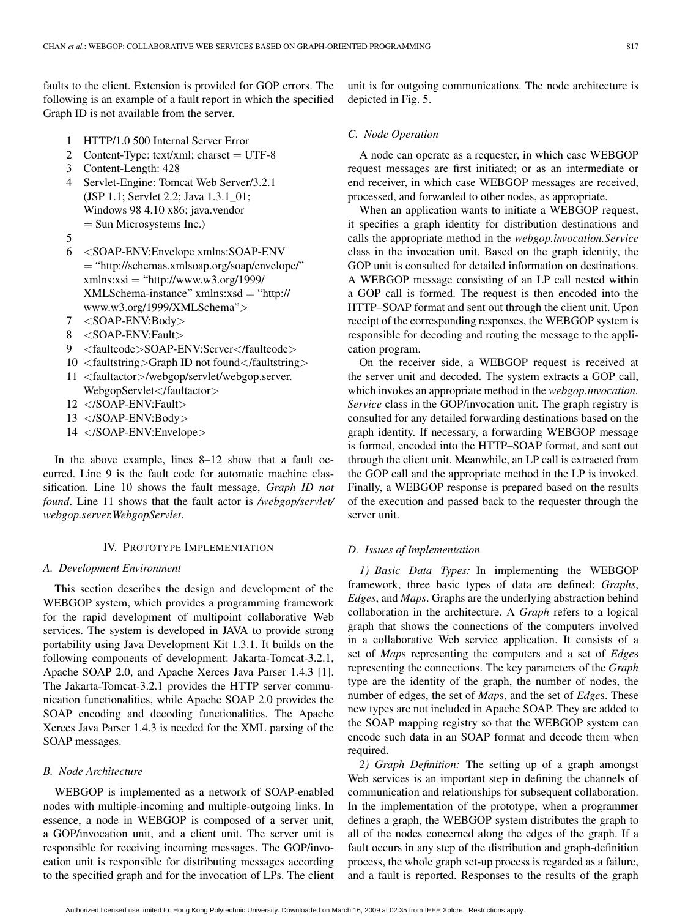faults to the client. Extension is provided for GOP errors. The following is an example of a fault report in which the specified Graph ID is not available from the server.

- 1 HTTP/1.0 500 Internal Server Error
- 2 Content-Type: text/xml; charset  $=$  UTF-8
- 3 Content-Length: 428
- 4 Servlet-Engine: Tomcat Web Server/3.2.1 (JSP 1.1; Servlet 2.2; Java 1.3.1\_01; Windows 98 4.10 x86; java.vendor = Sun Microsystems Inc.)
- 5
- 6 <SOAP-ENV:Envelope xmlns:SOAP-ENV = "http://schemas.xmlsoap.org/soap/envelope/"  $xmlns:xsi = "http://www.w3.org/1999/$  $XMLSchema-instance" xmlns:xsd = "http://$ www.w3.org/1999/XMLSchema">
- 7 <SOAP-ENV:Body>
- 8 <SOAP-ENV:Fault>
- 9 <faultcode>SOAP-ENV:Server</faultcode>
- 10 <faultstring>Graph ID not found</faultstring>
- 11 <faultactor>/webgop/servlet/webgop.server. WebgopServlet</faultactor>
- 12 </SOAP-ENV:Fault>
- 13 </SOAP-ENV:Body>
- 14 </SOAP-ENV:Envelope>

In the above example, lines 8–12 show that a fault occurred. Line 9 is the fault code for automatic machine classification. Line 10 shows the fault message, *Graph ID not found*. Line 11 shows that the fault actor is */webgop/servlet/ webgop.server.WebgopServlet*.

# IV. PROTOTYPE IMPLEMENTATION

#### *A. Development Environment*

This section describes the design and development of the WEBGOP system, which provides a programming framework for the rapid development of multipoint collaborative Web services. The system is developed in JAVA to provide strong portability using Java Development Kit 1.3.1. It builds on the following components of development: Jakarta-Tomcat-3.2.1, Apache SOAP 2.0, and Apache Xerces Java Parser 1.4.3 [1]. The Jakarta-Tomcat-3.2.1 provides the HTTP server communication functionalities, while Apache SOAP 2.0 provides the SOAP encoding and decoding functionalities. The Apache Xerces Java Parser 1.4.3 is needed for the XML parsing of the SOAP messages.

# *B. Node Architecture*

WEBGOP is implemented as a network of SOAP-enabled nodes with multiple-incoming and multiple-outgoing links. In essence, a node in WEBGOP is composed of a server unit, a GOP/invocation unit, and a client unit. The server unit is responsible for receiving incoming messages. The GOP/invocation unit is responsible for distributing messages according to the specified graph and for the invocation of LPs. The client unit is for outgoing communications. The node architecture is depicted in Fig. 5.

# *C. Node Operation*

A node can operate as a requester, in which case WEBGOP request messages are first initiated; or as an intermediate or end receiver, in which case WEBGOP messages are received, processed, and forwarded to other nodes, as appropriate.

When an application wants to initiate a WEBGOP request, it specifies a graph identity for distribution destinations and calls the appropriate method in the *webgop.invocation.Service* class in the invocation unit. Based on the graph identity, the GOP unit is consulted for detailed information on destinations. A WEBGOP message consisting of an LP call nested within a GOP call is formed. The request is then encoded into the HTTP–SOAP format and sent out through the client unit. Upon receipt of the corresponding responses, the WEBGOP system is responsible for decoding and routing the message to the application program.

On the receiver side, a WEBGOP request is received at the server unit and decoded. The system extracts a GOP call, which invokes an appropriate method in the *webgop.invocation. Service* class in the GOP/invocation unit. The graph registry is consulted for any detailed forwarding destinations based on the graph identity. If necessary, a forwarding WEBGOP message is formed, encoded into the HTTP–SOAP format, and sent out through the client unit. Meanwhile, an LP call is extracted from the GOP call and the appropriate method in the LP is invoked. Finally, a WEBGOP response is prepared based on the results of the execution and passed back to the requester through the server unit.

#### *D. Issues of Implementation*

*1) Basic Data Types:* In implementing the WEBGOP framework, three basic types of data are defined: *Graphs*, *Edges*, and *Maps*. Graphs are the underlying abstraction behind collaboration in the architecture. A *Graph* refers to a logical graph that shows the connections of the computers involved in a collaborative Web service application. It consists of a set of *Map*s representing the computers and a set of *Edge*s representing the connections. The key parameters of the *Graph* type are the identity of the graph, the number of nodes, the number of edges, the set of *Map*s, and the set of *Edge*s. These new types are not included in Apache SOAP. They are added to the SOAP mapping registry so that the WEBGOP system can encode such data in an SOAP format and decode them when required.

*2) Graph Definition:* The setting up of a graph amongst Web services is an important step in defining the channels of communication and relationships for subsequent collaboration. In the implementation of the prototype, when a programmer defines a graph, the WEBGOP system distributes the graph to all of the nodes concerned along the edges of the graph. If a fault occurs in any step of the distribution and graph-definition process, the whole graph set-up process is regarded as a failure, and a fault is reported. Responses to the results of the graph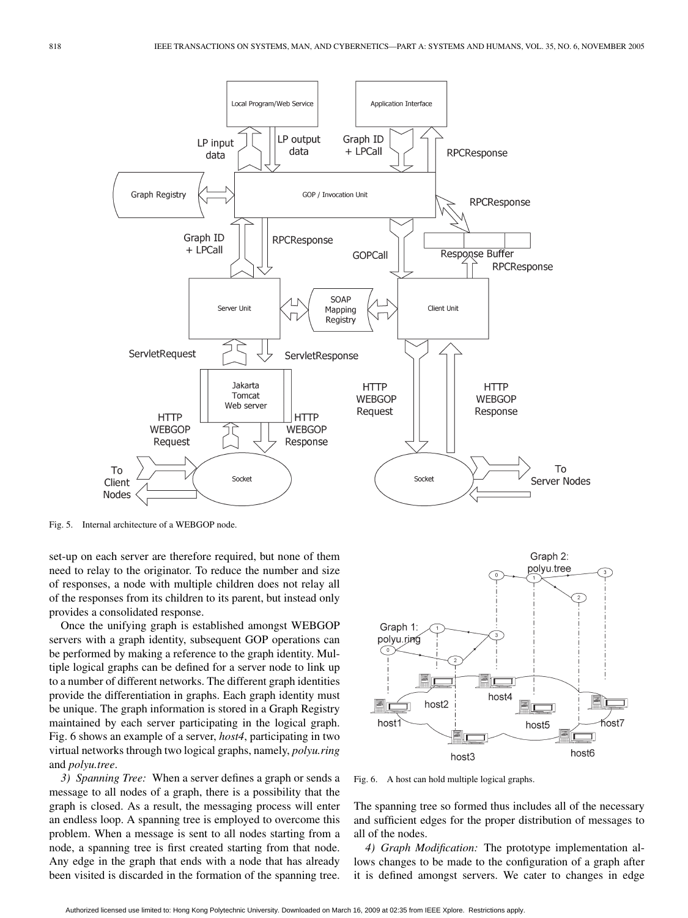

Fig. 5. Internal architecture of a WEBGOP node.

set-up on each server are therefore required, but none of them need to relay to the originator. To reduce the number and size of responses, a node with multiple children does not relay all of the responses from its children to its parent, but instead only provides a consolidated response.

Once the unifying graph is established amongst WEBGOP servers with a graph identity, subsequent GOP operations can be performed by making a reference to the graph identity. Multiple logical graphs can be defined for a server node to link up to a number of different networks. The different graph identities provide the differentiation in graphs. Each graph identity must be unique. The graph information is stored in a Graph Registry maintained by each server participating in the logical graph. Fig. 6 shows an example of a server, *host4*, participating in two virtual networks through two logical graphs, namely, *polyu.ring* and *polyu.tree*.

*3) Spanning Tree:* When a server defines a graph or sends a message to all nodes of a graph, there is a possibility that the graph is closed. As a result, the messaging process will enter an endless loop. A spanning tree is employed to overcome this problem. When a message is sent to all nodes starting from a node, a spanning tree is first created starting from that node. Any edge in the graph that ends with a node that has already been visited is discarded in the formation of the spanning tree.



Fig. 6. A host can hold multiple logical graphs.

The spanning tree so formed thus includes all of the necessary and sufficient edges for the proper distribution of messages to all of the nodes.

*4) Graph Modification:* The prototype implementation allows changes to be made to the configuration of a graph after it is defined amongst servers. We cater to changes in edge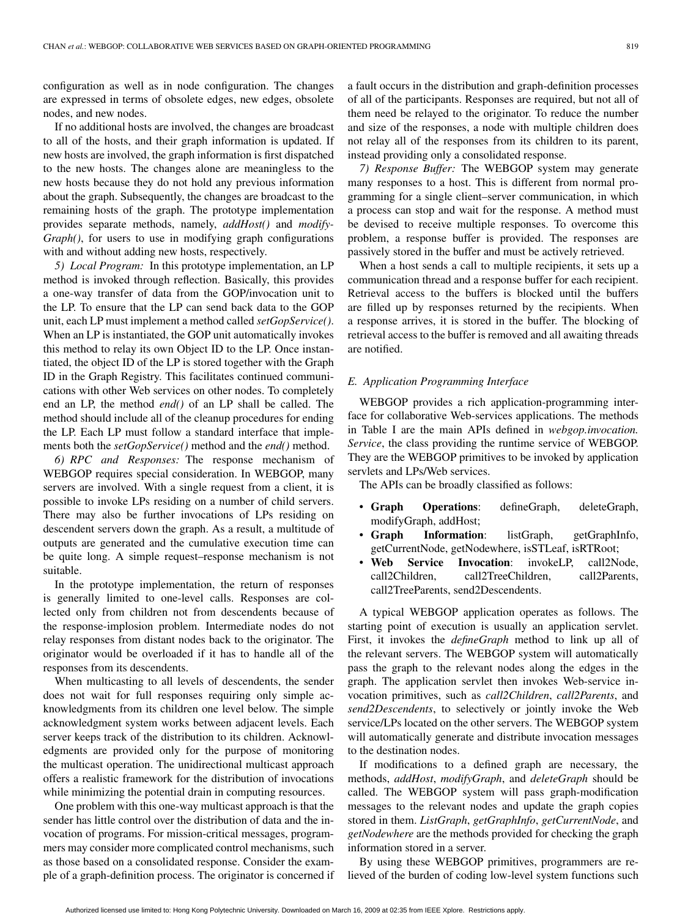configuration as well as in node configuration. The changes are expressed in terms of obsolete edges, new edges, obsolete nodes, and new nodes.

If no additional hosts are involved, the changes are broadcast to all of the hosts, and their graph information is updated. If new hosts are involved, the graph information is first dispatched to the new hosts. The changes alone are meaningless to the new hosts because they do not hold any previous information about the graph. Subsequently, the changes are broadcast to the remaining hosts of the graph. The prototype implementation provides separate methods, namely, *addHost()* and *modify-Graph()*, for users to use in modifying graph configurations with and without adding new hosts, respectively.

*5) Local Program:* In this prototype implementation, an LP method is invoked through reflection. Basically, this provides a one-way transfer of data from the GOP/invocation unit to the LP. To ensure that the LP can send back data to the GOP unit, each LP must implement a method called *setGopService()*. When an LP is instantiated, the GOP unit automatically invokes this method to relay its own Object ID to the LP. Once instantiated, the object ID of the LP is stored together with the Graph ID in the Graph Registry. This facilitates continued communications with other Web services on other nodes. To completely end an LP, the method *end()* of an LP shall be called. The method should include all of the cleanup procedures for ending the LP. Each LP must follow a standard interface that implements both the *setGopService()* method and the *end()* method.

*6) RPC and Responses:* The response mechanism of WEBGOP requires special consideration. In WEBGOP, many servers are involved. With a single request from a client, it is possible to invoke LPs residing on a number of child servers. There may also be further invocations of LPs residing on descendent servers down the graph. As a result, a multitude of outputs are generated and the cumulative execution time can be quite long. A simple request–response mechanism is not suitable.

In the prototype implementation, the return of responses is generally limited to one-level calls. Responses are collected only from children not from descendents because of the response-implosion problem. Intermediate nodes do not relay responses from distant nodes back to the originator. The originator would be overloaded if it has to handle all of the responses from its descendents.

When multicasting to all levels of descendents, the sender does not wait for full responses requiring only simple acknowledgments from its children one level below. The simple acknowledgment system works between adjacent levels. Each server keeps track of the distribution to its children. Acknowledgments are provided only for the purpose of monitoring the multicast operation. The unidirectional multicast approach offers a realistic framework for the distribution of invocations while minimizing the potential drain in computing resources.

One problem with this one-way multicast approach is that the sender has little control over the distribution of data and the invocation of programs. For mission-critical messages, programmers may consider more complicated control mechanisms, such as those based on a consolidated response. Consider the example of a graph-definition process. The originator is concerned if

a fault occurs in the distribution and graph-definition processes of all of the participants. Responses are required, but not all of them need be relayed to the originator. To reduce the number and size of the responses, a node with multiple children does not relay all of the responses from its children to its parent, instead providing only a consolidated response.

*7) Response Buffer:* The WEBGOP system may generate many responses to a host. This is different from normal programming for a single client–server communication, in which a process can stop and wait for the response. A method must be devised to receive multiple responses. To overcome this problem, a response buffer is provided. The responses are passively stored in the buffer and must be actively retrieved.

When a host sends a call to multiple recipients, it sets up a communication thread and a response buffer for each recipient. Retrieval access to the buffers is blocked until the buffers are filled up by responses returned by the recipients. When a response arrives, it is stored in the buffer. The blocking of retrieval access to the buffer is removed and all awaiting threads are notified.

#### *E. Application Programming Interface*

WEBGOP provides a rich application-programming interface for collaborative Web-services applications. The methods in Table I are the main APIs defined in *webgop.invocation. Service*, the class providing the runtime service of WEBGOP. They are the WEBGOP primitives to be invoked by application servlets and LPs/Web services.

The APIs can be broadly classified as follows:

- **Graph Operations**: defineGraph, deleteGraph, modifyGraph, addHost;
- **Graph Information**: listGraph, getGraphInfo, getCurrentNode, getNodewhere, isSTLeaf, isRTRoot;
- **Web Service Invocation**: invokeLP, call2Node, call2Children, call2TreeChildren, call2Parents, call2TreeParents, send2Descendents.

A typical WEBGOP application operates as follows. The starting point of execution is usually an application servlet. First, it invokes the *defineGraph* method to link up all of the relevant servers. The WEBGOP system will automatically pass the graph to the relevant nodes along the edges in the graph. The application servlet then invokes Web-service invocation primitives, such as *call2Children*, *call2Parents*, and *send2Descendents*, to selectively or jointly invoke the Web service/LPs located on the other servers. The WEBGOP system will automatically generate and distribute invocation messages to the destination nodes.

If modifications to a defined graph are necessary, the methods, *addHost*, *modifyGraph*, and *deleteGraph* should be called. The WEBGOP system will pass graph-modification messages to the relevant nodes and update the graph copies stored in them. *ListGraph*, *getGraphInfo*, *getCurrentNode*, and *getNodewhere* are the methods provided for checking the graph information stored in a server.

By using these WEBGOP primitives, programmers are relieved of the burden of coding low-level system functions such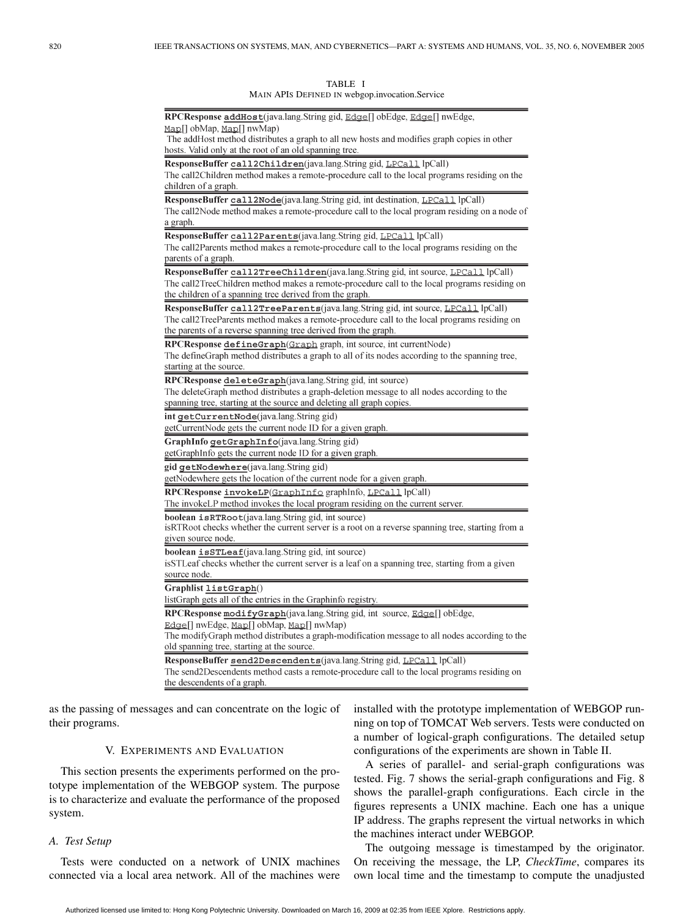| TABLE I                                        |  |
|------------------------------------------------|--|
| MAIN APIS DEFINED IN webgop.invocation.Service |  |

RPCResponse addHost(java.lang.String gid, Edge[] obEdge, Edge[] nwEdge, Map[] obMap, Map[] nwMap)  $\mathbf{r}$  and  $\mathbf{r}$  $h$ oete o nd n  $42\,c$  $\mathbf{r}$ **Service** 

| The addriver method distributes a graph to all new hosts and modifies graph copies in other<br>hosts. Valid only at the root of an old spanning tree. |
|-------------------------------------------------------------------------------------------------------------------------------------------------------|
|                                                                                                                                                       |
| ResponseBuffer call2Children(java.lang.String gid, LPCall lpCall)                                                                                     |
| The call2Children method makes a remote-procedure call to the local programs residing on the<br>children of a graph.                                  |
| ResponseBuffer call2Node(java.lang.String gid, int destination, LPCall lpCall)                                                                        |
| The call2Node method makes a remote-procedure call to the local program residing on a node of                                                         |
| a graph.                                                                                                                                              |
| ResponseBuffer call2Parents(java.lang.String gid, LPCall lpCall)                                                                                      |
| The call2Parents method makes a remote-procedure call to the local programs residing on the                                                           |
| parents of a graph.                                                                                                                                   |
| ResponseBuffer call2TreeChildren(java.lang.String gid, int source, LPCall lpCall)                                                                     |
| The call2TreeChildren method makes a remote-procedure call to the local programs residing on                                                          |
| the children of a spanning tree derived from the graph.                                                                                               |
| ResponseBuffer call2TreeParents(java.lang.String gid, int source, LPCall lpCall)                                                                      |
| The call2TreeParents method makes a remote-procedure call to the local programs residing on                                                           |
| the parents of a reverse spanning tree derived from the graph.                                                                                        |
| RPCResponse defineGraph(Graph graph, int source, int currentNode)                                                                                     |
| The defineGraph method distributes a graph to all of its nodes according to the spanning tree,                                                        |
| starting at the source.                                                                                                                               |
| RPCResponse deleteGraph(java.lang.String gid, int source)                                                                                             |
| The deleteGraph method distributes a graph-deletion message to all nodes according to the                                                             |
| spanning tree, starting at the source and deleting all graph copies.                                                                                  |
| int getCurrentNode(java.lang.String gid)                                                                                                              |
| getCurrentNode gets the current node ID for a given graph.                                                                                            |
| GraphInfo getGraphInfo(java.lang.String gid)                                                                                                          |
| getGraphInfo gets the current node ID for a given graph.                                                                                              |
| gid getNodewhere(java.lang.String gid)                                                                                                                |
| getNodewhere gets the location of the current node for a given graph.                                                                                 |
| RPCResponse invokeLP(GraphInfo graphInfo, LPCall lpCall)                                                                                              |
| The invokeLP method invokes the local program residing on the current server.                                                                         |
| boolean isRTRoot(java.lang.String gid, int source)                                                                                                    |
| is RTR oot checks whether the current server is a root on a reverse spanning tree, starting from a                                                    |
| given source node.                                                                                                                                    |
| boolean isSTLeaf(java.lang.String gid, int source)                                                                                                    |
| is STLeaf checks whether the current server is a leaf on a spanning tree, starting from a given                                                       |
| source node.                                                                                                                                          |
| Graphlist listGraph()                                                                                                                                 |
| listGraph gets all of the entries in the Graphinfo registry.                                                                                          |
| RPCResponse modifyGraph(java.lang.String gid, int source, Edge[] obEdge,                                                                              |
| Edge[] nwEdge, Map[] obMap, Map[] nwMap)                                                                                                              |
| The modifyGraph method distributes a graph-modification message to all nodes according to the                                                         |
| old spanning tree, starting at the source.                                                                                                            |
| ResponseBuffer send2Descendents(java.lang.String gid, LPCall lpCall)                                                                                  |
| The send2Descendents method casts a remote-procedure call to the local programs residing on                                                           |
| the descendents of a graph.                                                                                                                           |

as the passing of messages and can concentrate on the logic of their programs.

# V. EXPERIMENTS AND EVALUATION

This section presents the experiments performed on the prototype implementation of the WEBGOP system. The purpose is to characterize and evaluate the performance of the proposed system.

# *A. Test Setup*

Tests were conducted on a network of UNIX machines connected via a local area network. All of the machines were installed with the prototype implementation of WEBGOP running on top of TOMCAT Web servers. Tests were conducted on a number of logical-graph configurations. The detailed setup configurations of the experiments are shown in Table II.

A series of parallel- and serial-graph configurations was tested. Fig. 7 shows the serial-graph configurations and Fig. 8 shows the parallel-graph configurations. Each circle in the figures represents a UNIX machine. Each one has a unique IP address. The graphs represent the virtual networks in which the machines interact under WEBGOP.

The outgoing message is timestamped by the originator. On receiving the message, the LP, *CheckTime*, compares its own local time and the timestamp to compute the unadjusted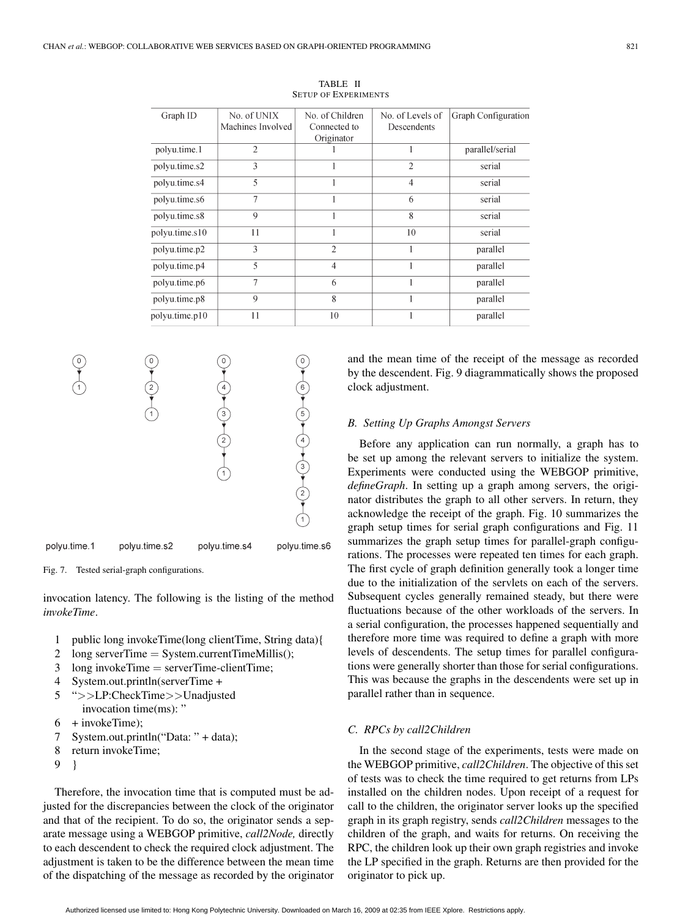|        | I |  |
|--------|---|--|
| I<br>٠ |   |  |

| Graph ID       | No. of UNIX       | No. of Children | No. of Levels of | Graph Configuration |
|----------------|-------------------|-----------------|------------------|---------------------|
|                | Machines Involved | Connected to    | Descendents      |                     |
|                |                   | Originator      |                  |                     |
| polyu.time.1   | 2                 |                 |                  | parallel/serial     |
| polyu.time.s2  | 3                 |                 | $\overline{2}$   | serial              |
| polyu.time.s4  | 5                 |                 | $\overline{4}$   | serial              |
| polyu.time.s6  | 7                 |                 | 6                | serial              |
| polyu.time.s8  | $\mathbf Q$       | 1               | 8                | serial              |
| polyu.time.s10 | 11                | 1               | 10               | serial              |
| polyu.time.p2  | 3                 | $\overline{2}$  |                  | parallel            |
| polyu.time.p4  | 5                 | $\overline{4}$  |                  | parallel            |
| polyu.time.p6  | 7                 | 6               |                  | parallel            |
| polyu.time.p8  | 9                 | 8               |                  | parallel            |
| polyu.time.p10 |                   | 10              |                  | parallel            |

TABLE II SETUP OF EXPERIMENTS



Fig. 7. Tested serial-graph configurations.

invocation latency. The following is the listing of the method *invokeTime*.

- 1 public long invokeTime(long clientTime, String data){
- 2 long serverTime  $=$  System.currentTimeMillis();
- 3 long invokeTime = serverTime-clientTime;
- 4 System.out.println(serverTime +
- 5 ">>LP:CheckTime>>Unadjusted
- invocation time(ms): "
- $6 +$  invokeTime);
- 7 System.out.println("Data: " + data);
- 8 return invokeTime;
- 9 }

Therefore, the invocation time that is computed must be adjusted for the discrepancies between the clock of the originator and that of the recipient. To do so, the originator sends a separate message using a WEBGOP primitive, *call2Node,* directly to each descendent to check the required clock adjustment. The adjustment is taken to be the difference between the mean time of the dispatching of the message as recorded by the originator and the mean time of the receipt of the message as recorded by the descendent. Fig. 9 diagrammatically shows the proposed clock adjustment.

# *B. Setting Up Graphs Amongst Servers*

Before any application can run normally, a graph has to be set up among the relevant servers to initialize the system. Experiments were conducted using the WEBGOP primitive, *defineGraph*. In setting up a graph among servers, the originator distributes the graph to all other servers. In return, they acknowledge the receipt of the graph. Fig. 10 summarizes the graph setup times for serial graph configurations and Fig. 11 summarizes the graph setup times for parallel-graph configurations. The processes were repeated ten times for each graph. The first cycle of graph definition generally took a longer time due to the initialization of the servlets on each of the servers. Subsequent cycles generally remained steady, but there were fluctuations because of the other workloads of the servers. In a serial configuration, the processes happened sequentially and therefore more time was required to define a graph with more levels of descendents. The setup times for parallel configurations were generally shorter than those for serial configurations. This was because the graphs in the descendents were set up in parallel rather than in sequence.

# *C. RPCs by call2Children*

In the second stage of the experiments, tests were made on the WEBGOP primitive, *call2Children*. The objective of this set of tests was to check the time required to get returns from LPs installed on the children nodes. Upon receipt of a request for call to the children, the originator server looks up the specified graph in its graph registry, sends *call2Children* messages to the children of the graph, and waits for returns. On receiving the RPC, the children look up their own graph registries and invoke the LP specified in the graph. Returns are then provided for the originator to pick up.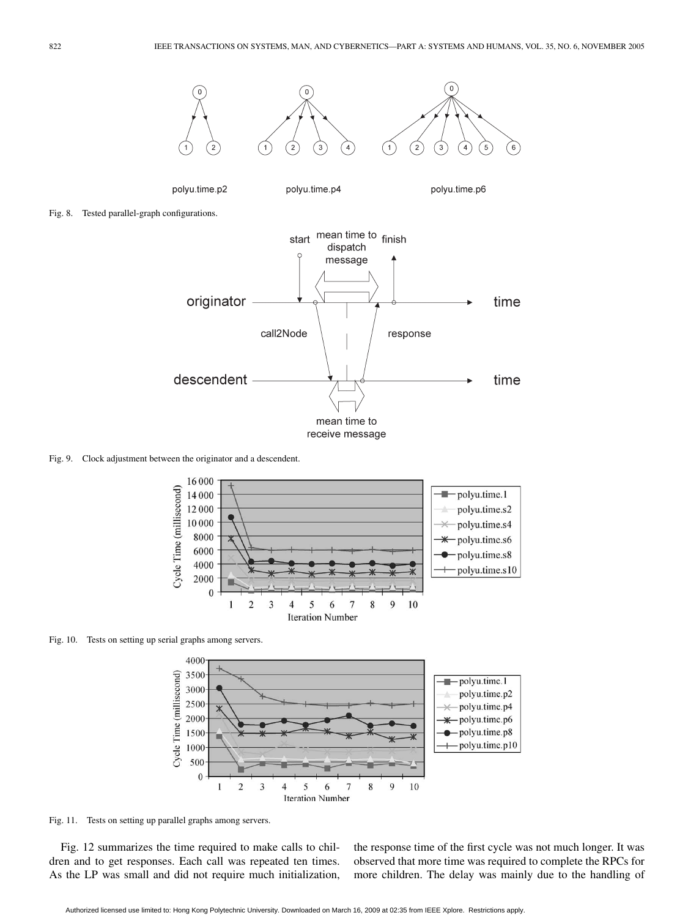

polyu.time.p2

polyu.time.p4

polyu.time.p6





Fig. 9. Clock adjustment between the originator and a descendent.



Fig. 10. Tests on setting up serial graphs among servers.



Fig. 11. Tests on setting up parallel graphs among servers.

Fig. 12 summarizes the time required to make calls to children and to get responses. Each call was repeated ten times. As the LP was small and did not require much initialization, the response time of the first cycle was not much longer. It was observed that more time was required to complete the RPCs for more children. The delay was mainly due to the handling of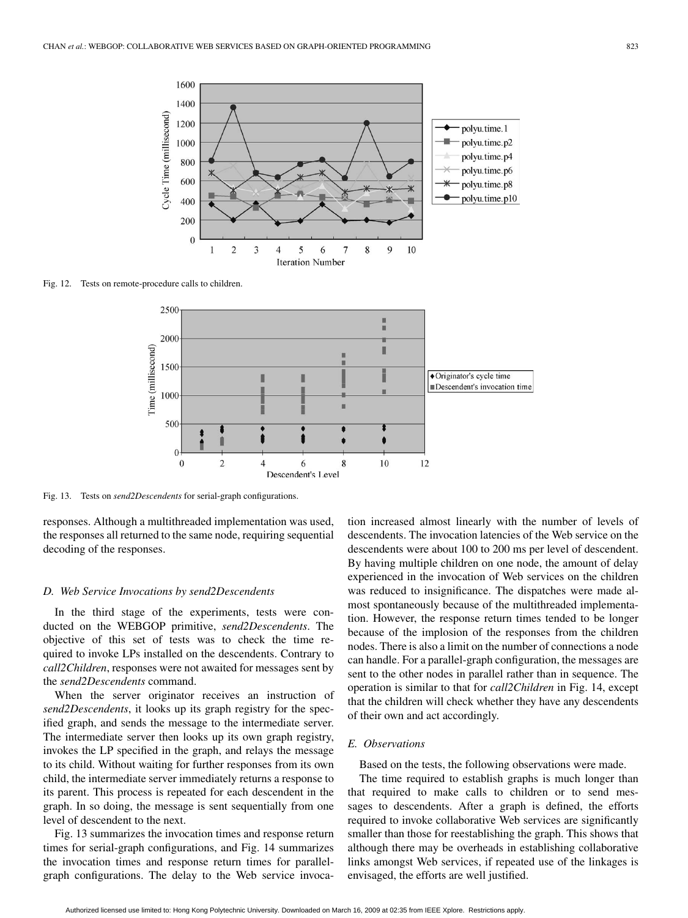

Fig. 12. Tests on remote-procedure calls to children.



Fig. 13. Tests on *send2Descendents* for serial-graph configurations.

responses. Although a multithreaded implementation was used, the responses all returned to the same node, requiring sequential decoding of the responses.

#### *D. Web Service Invocations by send2Descendents*

In the third stage of the experiments, tests were conducted on the WEBGOP primitive, *send2Descendents*. The objective of this set of tests was to check the time required to invoke LPs installed on the descendents. Contrary to *call2Children*, responses were not awaited for messages sent by the *send2Descendents* command.

When the server originator receives an instruction of *send2Descendents*, it looks up its graph registry for the specified graph, and sends the message to the intermediate server. The intermediate server then looks up its own graph registry, invokes the LP specified in the graph, and relays the message to its child. Without waiting for further responses from its own child, the intermediate server immediately returns a response to its parent. This process is repeated for each descendent in the graph. In so doing, the message is sent sequentially from one level of descendent to the next.

Fig. 13 summarizes the invocation times and response return times for serial-graph configurations, and Fig. 14 summarizes the invocation times and response return times for parallelgraph configurations. The delay to the Web service invocation increased almost linearly with the number of levels of descendents. The invocation latencies of the Web service on the descendents were about 100 to 200 ms per level of descendent. By having multiple children on one node, the amount of delay experienced in the invocation of Web services on the children was reduced to insignificance. The dispatches were made almost spontaneously because of the multithreaded implementation. However, the response return times tended to be longer because of the implosion of the responses from the children nodes. There is also a limit on the number of connections a node can handle. For a parallel-graph configuration, the messages are sent to the other nodes in parallel rather than in sequence. The operation is similar to that for *call2Children* in Fig. 14, except that the children will check whether they have any descendents of their own and act accordingly.

# *E. Observations*

Based on the tests, the following observations were made.

The time required to establish graphs is much longer than that required to make calls to children or to send messages to descendents. After a graph is defined, the efforts required to invoke collaborative Web services are significantly smaller than those for reestablishing the graph. This shows that although there may be overheads in establishing collaborative links amongst Web services, if repeated use of the linkages is envisaged, the efforts are well justified.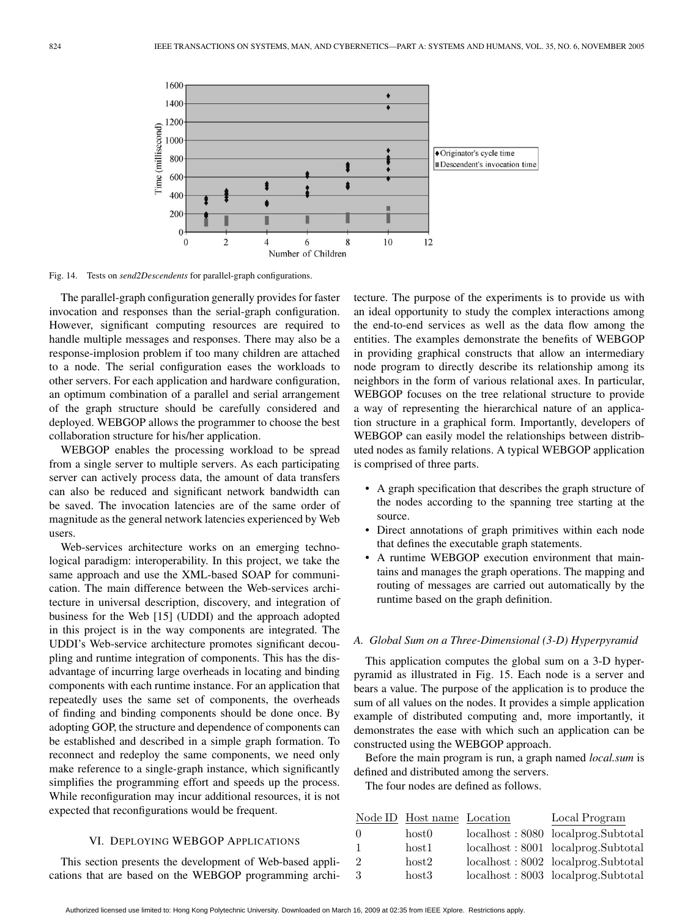

Fig. 14. Tests on *send2Descendents* for parallel-graph configurations.

The parallel-graph configuration generally provides for faster invocation and responses than the serial-graph configuration. However, significant computing resources are required to handle multiple messages and responses. There may also be a response-implosion problem if too many children are attached to a node. The serial configuration eases the workloads to other servers. For each application and hardware configuration, an optimum combination of a parallel and serial arrangement of the graph structure should be carefully considered and deployed. WEBGOP allows the programmer to choose the best collaboration structure for his/her application.

WEBGOP enables the processing workload to be spread from a single server to multiple servers. As each participating server can actively process data, the amount of data transfers can also be reduced and significant network bandwidth can be saved. The invocation latencies are of the same order of magnitude as the general network latencies experienced by Web users.

Web-services architecture works on an emerging technological paradigm: interoperability. In this project, we take the same approach and use the XML-based SOAP for communication. The main difference between the Web-services architecture in universal description, discovery, and integration of business for the Web [15] (UDDI) and the approach adopted in this project is in the way components are integrated. The UDDI's Web-service architecture promotes significant decoupling and runtime integration of components. This has the disadvantage of incurring large overheads in locating and binding components with each runtime instance. For an application that repeatedly uses the same set of components, the overheads of finding and binding components should be done once. By adopting GOP, the structure and dependence of components can be established and described in a simple graph formation. To reconnect and redeploy the same components, we need only make reference to a single-graph instance, which significantly simplifies the programming effort and speeds up the process. While reconfiguration may incur additional resources, it is not expected that reconfigurations would be frequent.

# VI. DEPLOYING WEBGOP APPLICATIONS

This section presents the development of Web-based applications that are based on the WEBGOP programming architecture. The purpose of the experiments is to provide us with an ideal opportunity to study the complex interactions among the end-to-end services as well as the data flow among the entities. The examples demonstrate the benefits of WEBGOP in providing graphical constructs that allow an intermediary node program to directly describe its relationship among its neighbors in the form of various relational axes. In particular, WEBGOP focuses on the tree relational structure to provide a way of representing the hierarchical nature of an application structure in a graphical form. Importantly, developers of WEBGOP can easily model the relationships between distributed nodes as family relations. A typical WEBGOP application is comprised of three parts.

- A graph specification that describes the graph structure of the nodes according to the spanning tree starting at the source.
- Direct annotations of graph primitives within each node that defines the executable graph statements.
- A runtime WEBGOP execution environment that maintains and manages the graph operations. The mapping and routing of messages are carried out automatically by the runtime based on the graph definition.

#### *A. Global Sum on a Three-Dimensional (3-D) Hyperpyramid*

This application computes the global sum on a 3-D hyperpyramid as illustrated in Fig. 15. Each node is a server and bears a value. The purpose of the application is to produce the sum of all values on the nodes. It provides a simple application example of distributed computing and, more importantly, it demonstrates the ease with which such an application can be constructed using the WEBGOP approach.

Before the main program is run, a graph named *local.sum* is defined and distributed among the servers.

The four nodes are defined as follows.

|                | Node ID Host name Location | Local Program                          |
|----------------|----------------------------|----------------------------------------|
| $\Omega$       | host0                      | localhost: 8080 localprog.Subtotal     |
|                | host1                      | $localhost: 8001$ $localprog.Subtotal$ |
| $\overline{2}$ | host2                      | $localhost: 8002$ $localprog.Subtotal$ |
| 3              | host3                      | $localhost: 8003$ $localprog.Subtotal$ |
|                |                            |                                        |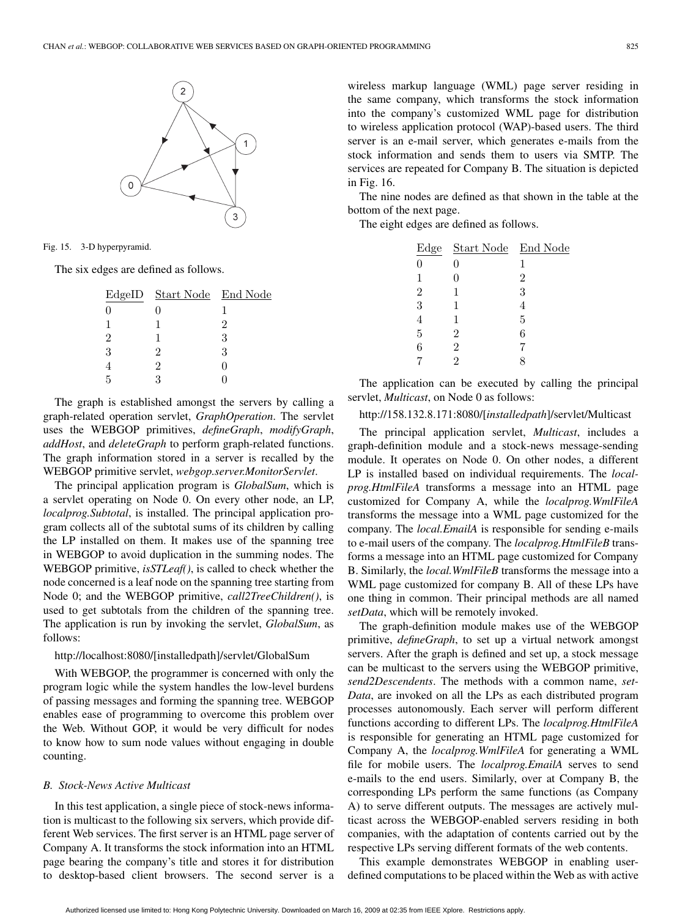

Fig. 15. 3-D hyperpyramid.

The six edges are defined as follows.

|                | EdgeID Start Node End Node |    |
|----------------|----------------------------|----|
|                |                            |    |
|                |                            | '2 |
| $\mathfrak{D}$ |                            | 3  |
| 3              | 2                          | 3  |
|                |                            |    |
| 片              |                            |    |

The graph is established amongst the servers by calling a graph-related operation servlet, *GraphOperation*. The servlet uses the WEBGOP primitives, *defineGraph*, *modifyGraph*, *addHost*, and *deleteGraph* to perform graph-related functions. The graph information stored in a server is recalled by the WEBGOP primitive servlet, *webgop.server.MonitorServlet*.

The principal application program is *GlobalSum*, which is a servlet operating on Node 0. On every other node, an LP, *localprog.Subtotal*, is installed. The principal application program collects all of the subtotal sums of its children by calling the LP installed on them. It makes use of the spanning tree in WEBGOP to avoid duplication in the summing nodes. The WEBGOP primitive, *isSTLeaf()*, is called to check whether the node concerned is a leaf node on the spanning tree starting from Node 0; and the WEBGOP primitive, *call2TreeChildren()*, is used to get subtotals from the children of the spanning tree. The application is run by invoking the servlet, *GlobalSum*, as follows:

# http://localhost:8080/[installedpath]/servlet/GlobalSum

With WEBGOP, the programmer is concerned with only the program logic while the system handles the low-level burdens of passing messages and forming the spanning tree. WEBGOP enables ease of programming to overcome this problem over the Web. Without GOP, it would be very difficult for nodes to know how to sum node values without engaging in double counting.

### *B. Stock-News Active Multicast*

In this test application, a single piece of stock-news information is multicast to the following six servers, which provide different Web services. The first server is an HTML page server of Company A. It transforms the stock information into an HTML page bearing the company's title and stores it for distribution to desktop-based client browsers. The second server is a wireless markup language (WML) page server residing in the same company, which transforms the stock information into the company's customized WML page for distribution to wireless application protocol (WAP)-based users. The third server is an e-mail server, which generates e-mails from the stock information and sends them to users via SMTP. The services are repeated for Company B. The situation is depicted in Fig. 16.

The nine nodes are defined as that shown in the table at the bottom of the next page.

The eight edges are defined as follows.

|                | Edge Start Node End Node |   |
|----------------|--------------------------|---|
| 0              | 0                        | 1 |
| 1              | 0                        | 2 |
| $\overline{2}$ |                          | 3 |
| 3              |                          |   |
|                |                          | 5 |
| 5              | 2                        | 6 |
| 6              | 2                        |   |
|                |                          |   |

The application can be executed by calling the principal servlet, *Multicast*, on Node 0 as follows:

# http://158.132.8.171:8080/[*installedpath*]/servlet/Multicast

The principal application servlet, *Multicast*, includes a graph-definition module and a stock-news message-sending module. It operates on Node 0. On other nodes, a different LP is installed based on individual requirements. The *localprog.HtmlFileA* transforms a message into an HTML page customized for Company A, while the *localprog.WmlFileA* transforms the message into a WML page customized for the company. The *local.EmailA* is responsible for sending e-mails to e-mail users of the company. The *localprog.HtmlFileB* transforms a message into an HTML page customized for Company B. Similarly, the *local.WmlFileB* transforms the message into a WML page customized for company B. All of these LPs have one thing in common. Their principal methods are all named *setData*, which will be remotely invoked.

The graph-definition module makes use of the WEBGOP primitive, *defineGraph*, to set up a virtual network amongst servers. After the graph is defined and set up, a stock message can be multicast to the servers using the WEBGOP primitive, *send2Descendents*. The methods with a common name, *set-Data*, are invoked on all the LPs as each distributed program processes autonomously. Each server will perform different functions according to different LPs. The *localprog.HtmlFileA* is responsible for generating an HTML page customized for Company A, the *localprog.WmlFileA* for generating a WML file for mobile users. The *localprog.EmailA* serves to send e-mails to the end users. Similarly, over at Company B, the corresponding LPs perform the same functions (as Company A) to serve different outputs. The messages are actively multicast across the WEBGOP-enabled servers residing in both companies, with the adaptation of contents carried out by the respective LPs serving different formats of the web contents.

This example demonstrates WEBGOP in enabling userdefined computations to be placed within the Web as with active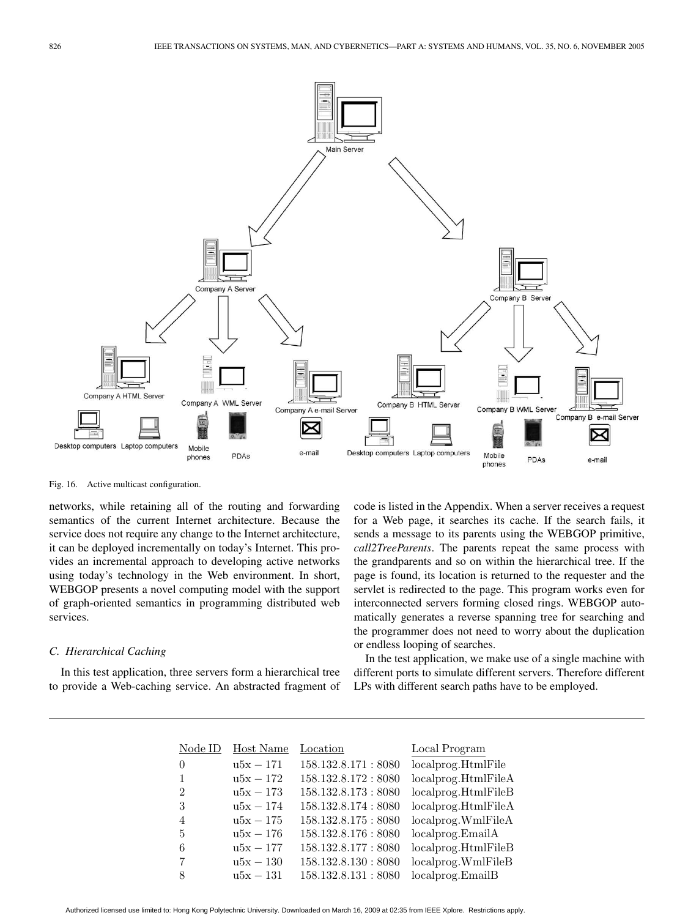

Fig. 16. Active multicast configuration.

networks, while retaining all of the routing and forwarding semantics of the current Internet architecture. Because the service does not require any change to the Internet architecture, it can be deployed incrementally on today's Internet. This provides an incremental approach to developing active networks using today's technology in the Web environment. In short, WEBGOP presents a novel computing model with the support of graph-oriented semantics in programming distributed web services.

# *C. Hierarchical Caching*

In this test application, three servers form a hierarchical tree to provide a Web-caching service. An abstracted fragment of code is listed in the Appendix. When a server receives a request for a Web page, it searches its cache. If the search fails, it sends a message to its parents using the WEBGOP primitive, *call2TreeParents*. The parents repeat the same process with the grandparents and so on within the hierarchical tree. If the page is found, its location is returned to the requester and the servlet is redirected to the page. This program works even for interconnected servers forming closed rings. WEBGOP automatically generates a reverse spanning tree for searching and the programmer does not need to worry about the duplication or endless looping of searches.

In the test application, we make use of a single machine with different ports to simulate different servers. Therefore different LPs with different search paths have to be employed.

| Node ID  | Host Name   | Location             | Local Program       |
|----------|-------------|----------------------|---------------------|
| $\theta$ | $u5x - 171$ | 158.132.8.171:8080   | localprog.HtmlFile  |
| 1        | $u5x - 172$ | 158.132.8.172:8080   | localprog.HtmlFileA |
| 2        | $u5x - 173$ | 158.132.8.173:8080   | localprog.HtmlFileB |
| 3        | $u5x - 174$ | 158.132.8.174:8080   | localprog.HtmlFileA |
| 4        | $u5x - 175$ | 158.132.8.175:8080   | localprog. WmlFileA |
| 5        | $u5x - 176$ | 158.132.8.176 : 8080 | localprog.EmailA    |
| 6        | $u5x - 177$ | 158.132.8.177:8080   | localprog.HtmlFileB |
| 7        | $u5x - 130$ | 158.132.8.130:8080   | localprog.WmlFileB  |
| 8        | $u5x - 131$ | 158.132.8.131 : 8080 | localprog.EmailB    |
|          |             |                      |                     |

Authorized licensed use limited to: Hong Kong Polytechnic University. Downloaded on March 16, 2009 at 02:35 from IEEE Xplore. Restrictions apply.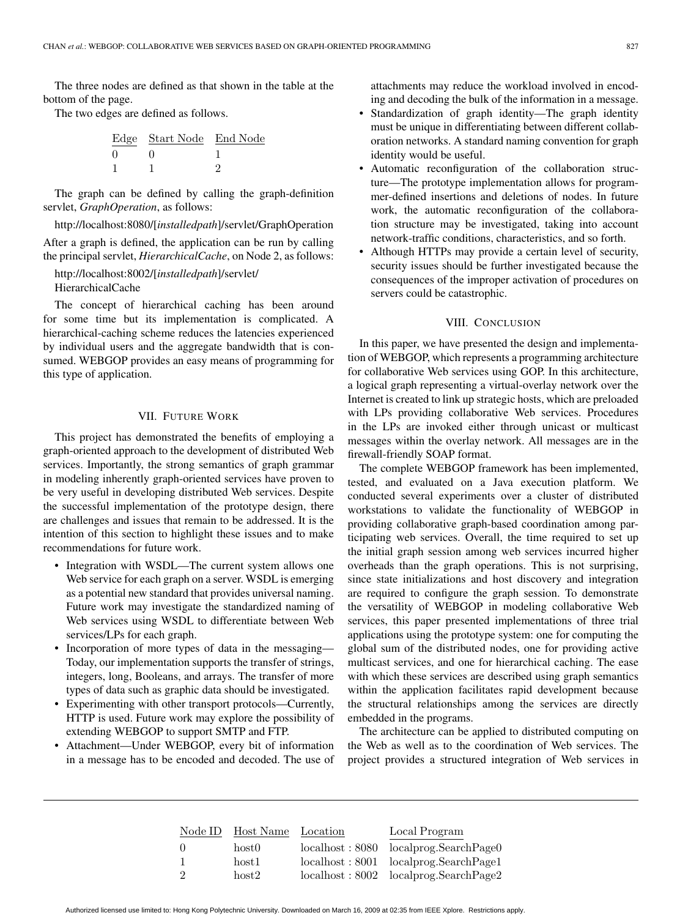The three nodes are defined as that shown in the table at the bottom of the page.

The two edges are defined as follows.

|        | Edge Start Node End Node |  |
|--------|--------------------------|--|
| $\cup$ |                          |  |
|        |                          |  |

The graph can be defined by calling the graph-definition servlet, *GraphOperation*, as follows:

http://localhost:8080/[*installedpath*]/servlet/GraphOperation

After a graph is defined, the application can be run by calling the principal servlet, *HierarchicalCache*, on Node 2, as follows:

http://localhost:8002/[*installedpath*]/servlet/ HierarchicalCache

The concept of hierarchical caching has been around for some time but its implementation is complicated. A hierarchical-caching scheme reduces the latencies experienced by individual users and the aggregate bandwidth that is consumed. WEBGOP provides an easy means of programming for this type of application.

# VII. FUTURE WORK

This project has demonstrated the benefits of employing a graph-oriented approach to the development of distributed Web services. Importantly, the strong semantics of graph grammar in modeling inherently graph-oriented services have proven to be very useful in developing distributed Web services. Despite the successful implementation of the prototype design, there are challenges and issues that remain to be addressed. It is the intention of this section to highlight these issues and to make recommendations for future work.

- Integration with WSDL—The current system allows one Web service for each graph on a server. WSDL is emerging as a potential new standard that provides universal naming. Future work may investigate the standardized naming of Web services using WSDL to differentiate between Web services/LPs for each graph.
- Incorporation of more types of data in the messaging— Today, our implementation supports the transfer of strings, integers, long, Booleans, and arrays. The transfer of more types of data such as graphic data should be investigated.
- Experimenting with other transport protocols—Currently, HTTP is used. Future work may explore the possibility of extending WEBGOP to support SMTP and FTP.
- Attachment—Under WEBGOP, every bit of information in a message has to be encoded and decoded. The use of

attachments may reduce the workload involved in encoding and decoding the bulk of the information in a message.

- Standardization of graph identity—The graph identity must be unique in differentiating between different collaboration networks. A standard naming convention for graph identity would be useful.
- Automatic reconfiguration of the collaboration structure—The prototype implementation allows for programmer-defined insertions and deletions of nodes. In future work, the automatic reconfiguration of the collaboration structure may be investigated, taking into account network-traffic conditions, characteristics, and so forth.
- Although HTTPs may provide a certain level of security, security issues should be further investigated because the consequences of the improper activation of procedures on servers could be catastrophic.

# VIII. CONCLUSION

In this paper, we have presented the design and implementation of WEBGOP, which represents a programming architecture for collaborative Web services using GOP. In this architecture, a logical graph representing a virtual-overlay network over the Internet is created to link up strategic hosts, which are preloaded with LPs providing collaborative Web services. Procedures in the LPs are invoked either through unicast or multicast messages within the overlay network. All messages are in the firewall-friendly SOAP format.

The complete WEBGOP framework has been implemented, tested, and evaluated on a Java execution platform. We conducted several experiments over a cluster of distributed workstations to validate the functionality of WEBGOP in providing collaborative graph-based coordination among participating web services. Overall, the time required to set up the initial graph session among web services incurred higher overheads than the graph operations. This is not surprising, since state initializations and host discovery and integration are required to configure the graph session. To demonstrate the versatility of WEBGOP in modeling collaborative Web services, this paper presented implementations of three trial applications using the prototype system: one for computing the global sum of the distributed nodes, one for providing active multicast services, and one for hierarchical caching. The ease with which these services are described using graph semantics within the application facilitates rapid development because the structural relationships among the services are directly embedded in the programs.

The architecture can be applied to distributed computing on the Web as well as to the coordination of Web services. The project provides a structured integration of Web services in

| Node ID       | Host Name Location | Local Program                             |
|---------------|--------------------|-------------------------------------------|
| $\cup$        | host0              | $localhost: 8080$ $localprog.SearchPage0$ |
| $\mathbf{1}$  | host1              | $localhost: 8001$ $localhost: 8001$       |
| $\mathcal{D}$ | host2              | $localhost: 8002$ $localprog.SearchPage2$ |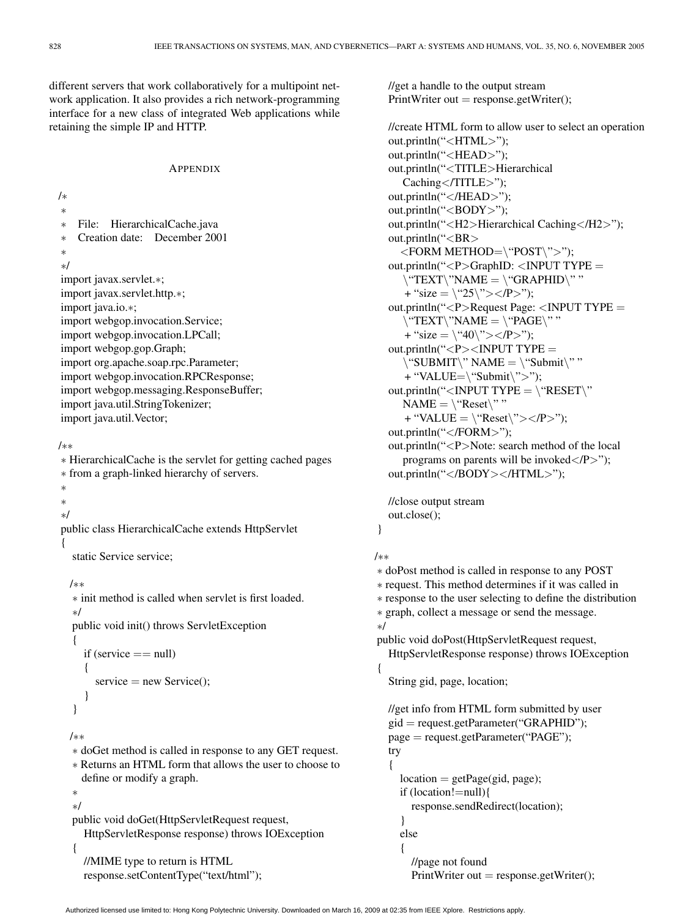different servers that work collaboratively for a multipoint network application. It also provides a rich network-programming interface for a new class of integrated Web applications while retaining the simple IP and HTTP.

### APPENDIX

/∗ ∗ ∗ File: HierarchicalCache.java Creation date: December 2001 ∗ ∗/ import javax.servlet.∗; import javax.servlet.http.∗; import java.io.∗; import webgop.invocation.Service; import webgop.invocation.LPCall; import webgop.gop.Graph; import org.apache.soap.rpc.Parameter; import webgop.invocation.RPCResponse; import webgop.messaging.ResponseBuffer; import java.util.StringTokenizer; import java.util.Vector;

```
/∗∗
```
∗ HierarchicalCache is the servlet for getting cached pages ∗ from a graph-linked hierarchy of servers. ∗ ∗ ∗/ public class HierarchicalCache extends HttpServlet { static Service service; /∗∗ ∗ init method is called when servlet is first loaded. ∗/ public void init() throws ServletException { if (service  $==$  null) {  $s$ ervice  $=$  new Service $($ ); } } /∗∗ ∗ doGet method is called in response to any GET request. ∗ Returns an HTML form that allows the user to choose to define or modify a graph. ∗ ∗/ public void doGet(HttpServletRequest request, HttpServletResponse response) throws IOException {

```
//MIME type to return is HTML
response.setContentType("text/html");
```
//get a handle to the output stream PrintWriter out  $=$  response.getWriter();

```
//create HTML form to allow user to select an operation
out.println("<HTML>");
out.println("<HEAD>");
out.println("<TITLE>Hierarchical
   Caching</TITLE>");
out.println("</HEAD>");
out.println("<BODY>");
out.println("<H2>Hierarchical Caching</H2>");
out.println("<BR>
  \langleFORM METHOD=\langle"POST\langle">");
out.println("<P>GraphID: <INPUT TYPE =
   \Upsilon"TEXT\"NAME = \"GRAPHID\""
   + "size = \langle"25\rangle"></P>");
out.println("<P>Request Page: <INPUT TYPE =
   \Upsilon "TEXT\"NAME = \"PAGE\""
   + "size = \"40\"></P>");
out.println("<P><INPUT TYPE =
   \text{V'SUBMIT}\" NAME = \text{V'Submit}\""
   + "VALUE=\"Submit\">");
out.println("<INPUT TYPE = \"RESET\"
   NAME = \text{``Reset}\text{''}"
   + "VALUE = \text{``Reset'}>><\text{/P}>\text{''};out.println("</FORM>");
out.println("<P>Note: search method of the local
   programs on parents will be invoked</P>");
out.println("</BODY></HTML>");
//close output stream
```
out.close();

```
}
/∗∗
```

```
∗ doPost method is called in response to any POST
∗ request. This method determines if it was called in
∗ response to the user selecting to define the distribution
∗ graph, collect a message or send the message.
∗/
public void doPost(HttpServletRequest request,
  HttpServletResponse response) throws IOException
{
  String gid, page, location;
  //get info from HTML form submitted by user
  gid = request.getParameter("GRAPHID");
  page = request.getParameter("PAGE");
  try
  {
    location = getPage(gid, page);if (location!=null){
       response.sendRedirect(location);
     }
    else
     {
       //page not found
       PrintWriter out = response.getWriter();
```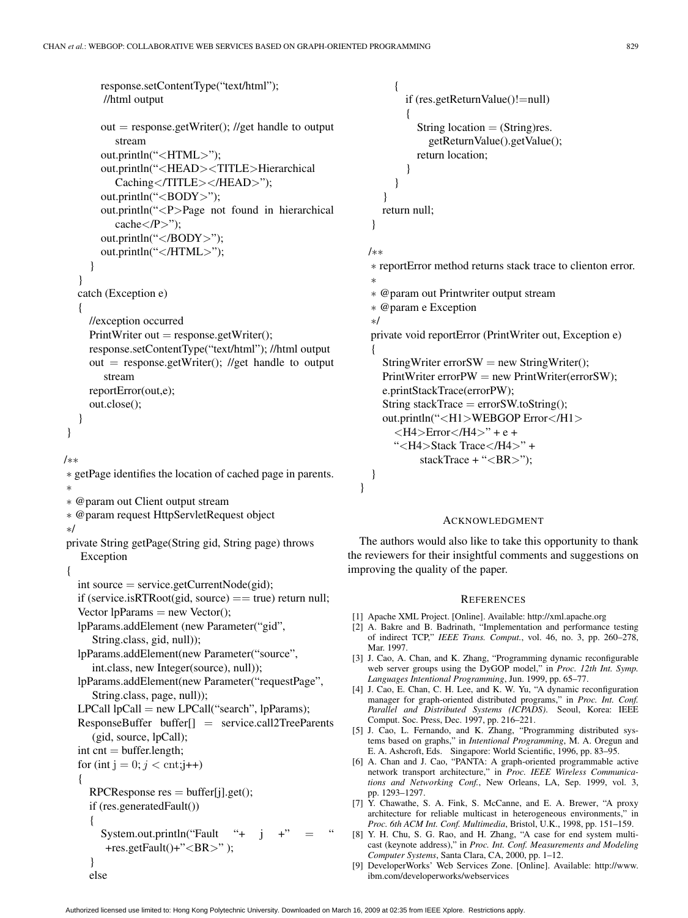```
response.setContentType("text/html");
        //html output
        out = response.getWriter(); //get handle to output
           stream
        out.println("<HTML>");
        out.println("<HEAD><TITLE>Hierarchical
           Caching</TITLE></HEAD>");
        out.println("<BODY>");
        out.println("<P>Page not found in hierarchical
           cache\langle P \rangle");
        out.println("</BODY>");
        out.println("</HTML>");
     }
   }
  catch (Exception e)
   {
     //exception occurred
     PrintWriter out = response.getWriter();response.setContentType("text/html"); //html output
     out = response.getWriter(); //get handle to output
        stream
     reportError(out,e);
     out.close();
   }
/∗∗
∗ getPage identifies the location of cached page in parents.
∗ @param out Client output stream
∗ @param request HttpServletRequest object
∗/
private String getPage(String gid, String page) throws
   Exception
   int source = service.getCurrentNode(gid);
   if (service.isRTRoot(gid, source) == true) return null;
   Vector lpParams = new Vector();lpParams.addElement (new Parameter("gid",
      String.class, gid, null));
   lpParams.addElement(new Parameter("source",
      int.class, new Integer(source), null));
  lpParams.addElement(new Parameter("requestPage",
      String.class, page, null));
   LPCall lpCall = new LPCall ("search", lpParams);
   ResponseBuffer buffer[] = service.call2TreeParents
      (gid, source, lpCall);
   \text{int} cnt = buffer.length;
   for (int j = 0; j < \text{cnt}; j++){
     RPCResponse res = buffer[j].get();
     if (res.generatedFault())
     {
        System.out.println("Fault "+ j
                                                                       {
                                                                         {
                                                                         }
                                                                       }
                                                                    }
                                                                  }
                                                                 /∗∗
                                                                  ∗
                                                                  ∗/
                                                                  {
                                                                  }
                                                               }
                                                                 Mar. 1997.
```
}

∗

{

```
if (res.getReturnValue()!=null)
       String location = (String)res.
          getReturnValue().getValue();
       return location;
return null;
```
∗ reportError method returns stack trace to clienton error.

∗ @param out Printwriter output stream

```
∗ @param e Exception
```
private void reportError (PrintWriter out, Exception e)

```
StringWriter errorSW = new StringWriter();PrintWriter errorPW = new PrintWriter(errorSW);
e.printStackTrace(errorPW);
String stackTrace = errorSW.toString();
out.println("<H1>WEBGOP Error</H1>
  $\langle$H4>\rangle$Error$\langle$H4>\rangle$" + e +
  "<H4>Stack Trace</H4>" +
        stackTrace + "<BR>");
```
#### ACKNOWLEDGMENT

The authors would also like to take this opportunity to thank the reviewers for their insightful comments and suggestions on improving the quality of the paper.

#### **REFERENCES**

- [1] Apache XML Project. [Online]. Available: http://xml.apache.org
- [2] A. Bakre and B. Badrinath, "Implementation and performance testing of indirect TCP," *IEEE Trans. Comput.*, vol. 46, no. 3, pp. 260–278,
- [3] J. Cao, A. Chan, and K. Zhang, "Programming dynamic reconfigurable web server groups using the DyGOP model," in *Proc. 12th Int. Symp. Languages Intentional Programming*, Jun. 1999, pp. 65–77.
- [4] J. Cao, E. Chan, C. H. Lee, and K. W. Yu, "A dynamic reconfiguration manager for graph-oriented distributed programs," in *Proc. Int. Conf. Parallel and Distributed Systems (ICPADS)*. Seoul, Korea: IEEE Comput. Soc. Press, Dec. 1997, pp. 216–221.
- [5] J. Cao, L. Fernando, and K. Zhang, "Programming distributed systems based on graphs," in *Intentional Programming*, M. A. Oregun and E. A. Ashcroft, Eds. Singapore: World Scientific, 1996, pp. 83–95.
- [6] A. Chan and J. Cao, "PANTA: A graph-oriented programmable active network transport architecture," in *Proc. IEEE Wireless Communications and Networking Conf.*, New Orleans, LA, Sep. 1999, vol. 3, pp. 1293–1297.
- [7] Y. Chawathe, S. A. Fink, S. McCanne, and E. A. Brewer, "A proxy architecture for reliable multicast in heterogeneous environments," in *Proc. 6th ACM Int. Conf. Multimedia*, Bristol, U.K., 1998, pp. 151–159.
- [8] Y. H. Chu, S. G. Rao, and H. Zhang, "A case for end system multicast (keynote address)," in *Proc. Int. Conf. Measurements and Modeling Computer Systems*, Santa Clara, CA, 2000, pp. 1–12.
- [9] DeveloperWorks' Web Services Zone. [Online]. Available: http://www. ibm.com/developerworks/webservices

+res.getFault()+"<BR>" );

} else